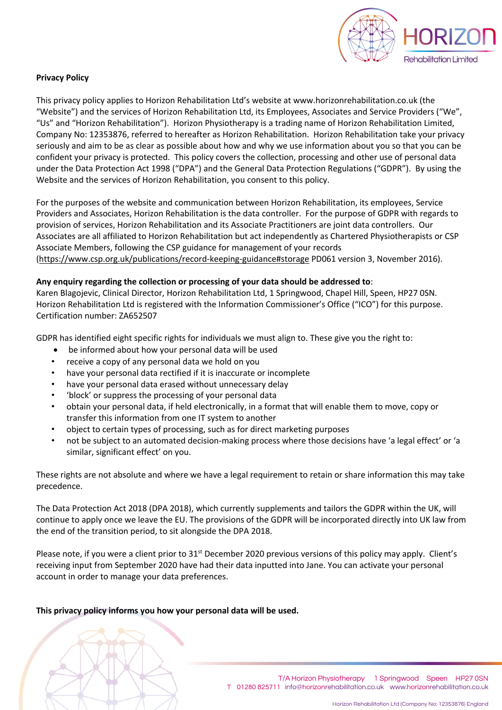

# **Privacy Policy**

This privacy policy applies to Horizon Rehabilitation Ltd's website at www.horizonrehabilitation.co.uk (the "Website") and the services of Horizon Rehabilitation Ltd, its Employees, Associates and Service Providers ("We", "Us" and "Horizon Rehabilitation"). Horizon Physiotherapy is a trading name of Horizon Rehabilitation Limited, Company No: 12353876, referred to hereafter as Horizon Rehabilitation. Horizon Rehabilitation take your privacy seriously and aim to be as clear as possible about how and why we use information about you so that you can be confident your privacy is protected. This policy covers the collection, processing and other use of personal data under the Data Protection Act 1998 ("DPA") and the General Data Protection Regulations ("GDPR"). By using the Website and the services of Horizon Rehabilitation, you consent to this policy.

For the purposes of the website and communication between Horizon Rehabilitation, its employees, Service Providers and Associates, Horizon Rehabilitation is the data controller. For the purpose of GDPR with regards to provision of services, Horizon Rehabilitation and its Associate Practitioners are joint data controllers. Our Associates are all affiliated to Horizon Rehabilitation but act independently as Chartered Physiotherapists or CSP Associate Members, following the CSP guidance for management of your records (https://www.csp.org.uk/publications/record-keeping-guidance#storage PD061 version 3, November 2016).

## **Any enquiry regarding the collection or processing of your data should be addressed to**:

Karen Blagojevic, Clinical Director, Horizon Rehabilitation Ltd, 1 Springwood, Chapel Hill, Speen, HP27 0SN. Horizon Rehabilitation Ltd is registered with the Information Commissioner's Office ("ICO") for this purpose. Certification number: ZA652507

GDPR has identified eight specific rights for individuals we must align to. These give you the right to:

- be informed about how your personal data will be used
- receive a copy of any personal data we hold on you
- have your personal data rectified if it is inaccurate or incomplete
- have your personal data erased without unnecessary delay
- 'block' or suppress the processing of your personal data
- obtain your personal data, if held electronically, in a format that will enable them to move, copy or transfer this information from one IT system to another
- object to certain types of processing, such as for direct marketing purposes
- not be subject to an automated decision-making process where those decisions have 'a legal effect' or 'a similar, significant effect' on you.

These rights are not absolute and where we have a legal requirement to retain or share information this may take precedence.

The Data Protection Act 2018 (DPA 2018), which currently supplements and tailors the GDPR within the UK, will continue to apply once we leave the EU. The provisions of the GDPR will be incorporated directly into UK law from the end of the transition period, to sit alongside the DPA 2018.

Please note, if you were a client prior to 31<sup>st</sup> December 2020 previous versions of this policy may apply. Client's receiving input from September 2020 have had their data inputted into Jane. You can activate your personal account in order to manage your data preferences.

## **This privacy policy informs you how your personal data will be used.**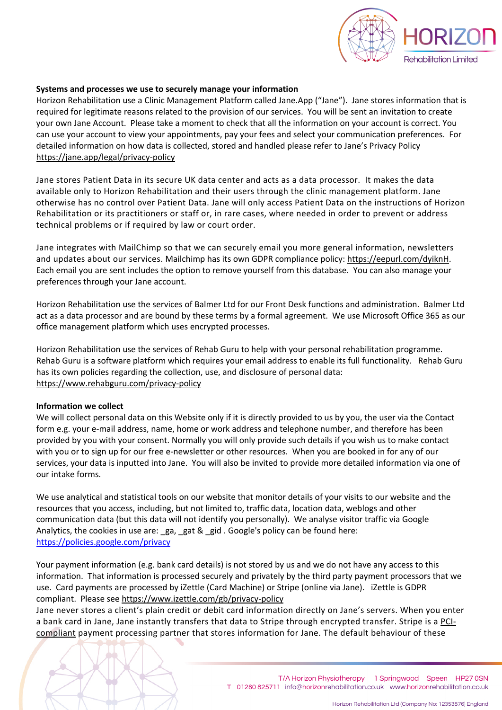

#### **Systems and processes we use to securely manage your information**

Horizon Rehabilitation use a Clinic Management Platform called Jane.App ("Jane"). Jane stores information that is required for legitimate reasons related to the provision of our services. You will be sent an invitation to create your own Jane Account. Please take a moment to check that all the information on your account is correct. You can use your account to view your appointments, pay your fees and select your communication preferences. For detailed information on how data is collected, stored and handled please refer to Jane's Privacy Policy https://jane.app/legal/privacy-policy

Jane stores Patient Data in its secure UK data center and acts as a data processor. It makes the data available only to Horizon Rehabilitation and their users through the clinic management platform. Jane otherwise has no control over Patient Data. Jane will only access Patient Data on the instructions of Horizon Rehabilitation or its practitioners or staff or, in rare cases, where needed in order to prevent or address technical problems or if required by law or court order.

Jane integrates with MailChimp so that we can securely email you more general information, newsletters and updates about our services. Mailchimp has its own GDPR compliance policy: https://eepurl.com/dyiknH. Each email you are sent includes the option to remove yourself from this database. You can also manage your preferences through your Jane account.

Horizon Rehabilitation use the services of Balmer Ltd for our Front Desk functions and administration. Balmer Ltd act as a data processor and are bound by these terms by a formal agreement. We use Microsoft Office 365 as our office management platform which uses encrypted processes.

Horizon Rehabilitation use the services of Rehab Guru to help with your personal rehabilitation programme. Rehab Guru is a software platform which requires your email address to enable its full functionality. Rehab Guru has its own policies regarding the collection, use, and disclosure of personal data: https://www.rehabguru.com/privacy-policy

#### **Information we collect**

We will collect personal data on this Website only if it is directly provided to us by you, the user via the Contact form e.g. your e-mail address, name, home or work address and telephone number, and therefore has been provided by you with your consent. Normally you will only provide such details if you wish us to make contact with you or to sign up for our free e-newsletter or other resources. When you are booked in for any of our services, your data is inputted into Jane. You will also be invited to provide more detailed information via one of our intake forms.

We use analytical and statistical tools on our website that monitor details of your visits to our website and the resources that you access, including, but not limited to, traffic data, location data, weblogs and other communication data (but this data will not identify you personally). We analyse visitor traffic via Google Analytics, the cookies in use are:  $ga$ ,  $ga$ t &  $ga$ id . Google's policy can be found here: https://policies.google.com/privacy

Your payment information (e.g. bank card details) is not stored by us and we do not have any access to this information. That information is processed securely and privately by the third party payment processors that we use. Card payments are processed by iZettle (Card Machine) or Stripe (online via Jane). iZettle is GDPR compliant. Please see https://www.izettle.com/gb/privacy-policy

Jane never stores a client's plain credit or debit card information directly on Jane's servers. When you enter a bank card in Jane, Jane instantly transfers that data to Stripe through encrypted transfer. Stripe is a PCIcompliant payment processing partner that stores information for Jane. The default behaviour of these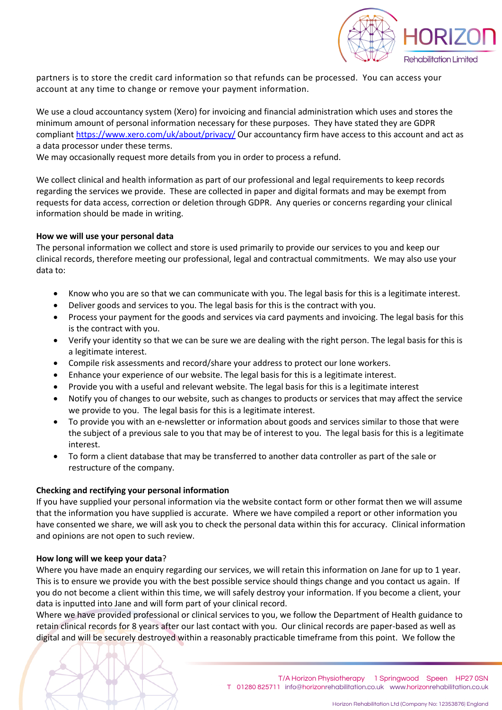

partners is to store the credit card information so that refunds can be processed. You can access your account at any time to change or remove your payment information.

We use a cloud accountancy system (Xero) for invoicing and financial administration which uses and stores the minimum amount of personal information necessary for these purposes. They have stated they are GDPR compliant https://www.xero.com/uk/about/privacy/ Our accountancy firm have access to this account and act as a data processor under these terms.

We may occasionally request more details from you in order to process a refund.

We collect clinical and health information as part of our professional and legal requirements to keep records regarding the services we provide. These are collected in paper and digital formats and may be exempt from requests for data access, correction or deletion through GDPR. Any queries or concerns regarding your clinical information should be made in writing.

## **How we will use your personal data**

The personal information we collect and store is used primarily to provide our services to you and keep our clinical records, therefore meeting our professional, legal and contractual commitments. We may also use your data to:

- Know who you are so that we can communicate with you. The legal basis for this is a legitimate interest.
- Deliver goods and services to you. The legal basis for this is the contract with you.
- Process your payment for the goods and services via card payments and invoicing. The legal basis for this is the contract with you.
- Verify your identity so that we can be sure we are dealing with the right person. The legal basis for this is a legitimate interest.
- Compile risk assessments and record/share your address to protect our lone workers.
- Enhance your experience of our website. The legal basis for this is a legitimate interest.
- Provide you with a useful and relevant website. The legal basis for this is a legitimate interest
- Notify you of changes to our website, such as changes to products or services that may affect the service we provide to you. The legal basis for this is a legitimate interest.
- To provide you with an e-newsletter or information about goods and services similar to those that were the subject of a previous sale to you that may be of interest to you. The legal basis for this is a legitimate interest.
- To form a client database that may be transferred to another data controller as part of the sale or restructure of the company.

#### **Checking and rectifying your personal information**

If you have supplied your personal information via the website contact form or other format then we will assume that the information you have supplied is accurate. Where we have compiled a report or other information you have consented we share, we will ask you to check the personal data within this for accuracy. Clinical information and opinions are not open to such review.

#### **How long will we keep your data**?

Where you have made an enquiry regarding our services, we will retain this information on Jane for up to 1 year. This is to ensure we provide you with the best possible service should things change and you contact us again. If you do not become a client within this time, we will safely destroy your information. If you become a client, your data is inputted into Jane and will form part of your clinical record.

Where we have provided professional or clinical services to you, we follow the Department of Health guidance to retain clinical records for 8 years after our last contact with you. Our clinical records are paper-based as well as digital and will be securely destroyed within a reasonably practicable timeframe from this point. We follow the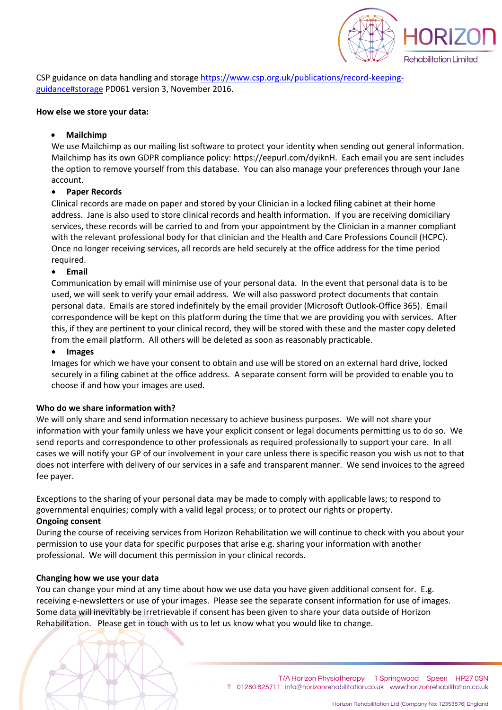

**Rehabilitation Limited** 

CSP guidance on data handling and storage https://www.csp.org.uk/publications/record-keepingguidance#storage PD061 version 3, November 2016.

#### **How else we store your data:**

## • **Mailchimp**

We use Mailchimp as our mailing list software to protect your identity when sending out general information. Mailchimp has its own GDPR compliance policy: https://eepurl.com/dyiknH. Each email you are sent includes the option to remove yourself from this database. You can also manage your preferences through your Jane account.

# • **Paper Records**

Clinical records are made on paper and stored by your Clinician in a locked filing cabinet at their home address. Jane is also used to store clinical records and health information. If you are receiving domiciliary services, these records will be carried to and from your appointment by the Clinician in a manner compliant with the relevant professional body for that clinician and the Health and Care Professions Council (HCPC). Once no longer receiving services, all records are held securely at the office address for the time period required.

# • **Email**

Communication by email will minimise use of your personal data. In the event that personal data is to be used, we will seek to verify your email address. We will also password protect documents that contain personal data. Emails are stored indefinitely by the email provider (Microsoft Outlook-Office 365). Email correspondence will be kept on this platform during the time that we are providing you with services. After this, if they are pertinent to your clinical record, they will be stored with these and the master copy deleted from the email platform. All others will be deleted as soon as reasonably practicable.

## • **Images**

Images for which we have your consent to obtain and use will be stored on an external hard drive, locked securely in a filing cabinet at the office address. A separate consent form will be provided to enable you to choose if and how your images are used.

## **Who do we share information with?**

We will only share and send information necessary to achieve business purposes. We will not share your information with your family unless we have your explicit consent or legal documents permitting us to do so. We send reports and correspondence to other professionals as required professionally to support your care. In all cases we will notify your GP of our involvement in your care unless there is specific reason you wish us not to that does not interfere with delivery of our services in a safe and transparent manner. We send invoices to the agreed fee payer.

Exceptions to the sharing of your personal data may be made to comply with applicable laws; to respond to governmental enquiries; comply with a valid legal process; or to protect our rights or property. **Ongoing consent**

During the course of receiving services from Horizon Rehabilitation we will continue to check with you about your permission to use your data for specific purposes that arise e.g. sharing your information with another professional. We will document this permission in your clinical records.

## **Changing how we use your data**

You can change your mind at any time about how we use data you have given additional consent for. E.g. receiving e-newsletters or use of your images. Please see the separate consent information for use of images. Some data will inevitably be irretrievable if consent has been given to share your data outside of Horizon Rehabilitation. Please get in touch with us to let us know what you would like to change.